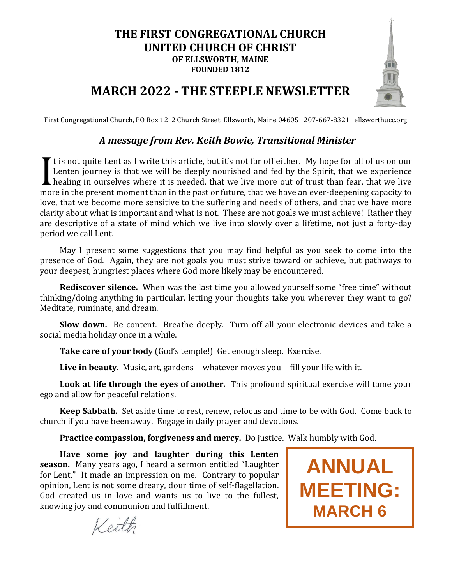#### **THE FIRST CONGREGATIONAL CHURCH UNITED CHURCH OF CHRIST OF ELLSWORTH, MAINE FOUNDED 1812**



## **MARCH 2022 - THE STEEPLE NEWSLETTER**

First Congregational Church, PO Box 12, 2 Church Street, Ellsworth, Maine 04605 207-667-8321 ellsworthucc.org

#### *A message from Rev. Keith Bowie, Transitional Minister*

If t is not quite Lent as I write this article, but it's not far off either. My hope for all of us on our Lenten journey is that we will be deeply nourished and fed by the Spirit, that we experience healing in ourselves where it is needed, that we live more out of trust than fear, that we live more in the present moment than in the past or future, that we have an ever-deepening capacity to love, that we become more sensitive to the suffering and needs of others, and that we have more clarity about what is important and what is not. These are not goals we must achieve! Rather they are descriptive of a state of mind which we live into slowly over a lifetime, not just a forty-day period we call Lent. I

May I present some suggestions that you may find helpful as you seek to come into the presence of God. Again, they are not goals you must strive toward or achieve, but pathways to your deepest, hungriest places where God more likely may be encountered.

**Rediscover silence.** When was the last time you allowed yourself some "free time" without thinking/doing anything in particular, letting your thoughts take you wherever they want to go? Meditate, ruminate, and dream.

**Slow down.** Be content. Breathe deeply. Turn off all your electronic devices and take a social media holiday once in a while.

**Take care of your body** (God's temple!) Get enough sleep. Exercise.

**Live in beauty.** Music, art, gardens—whatever moves you—fill your life with it.

**Look at life through the eyes of another.** This profound spiritual exercise will tame your ego and allow for peaceful relations.

**Keep Sabbath.** Set aside time to rest, renew, refocus and time to be with God. Come back to church if you have been away. Engage in daily prayer and devotions.

**Practice compassion, forgiveness and mercy.** Do justice. Walk humbly with God.

**Have some joy and laughter during this Lenten season.** Many years ago, I heard a sermon entitled "Laughter for Lent." It made an impression on me. Contrary to popular opinion, Lent is not some dreary, dour time of self-flagellation. God created us in love and wants us to live to the fullest, knowing joy and communion and fulfillment.



Keith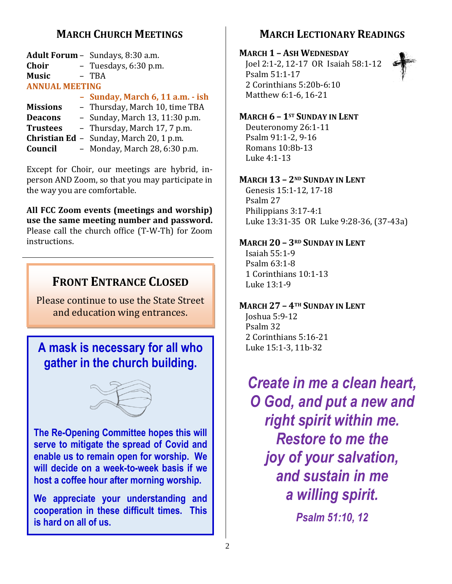### **MARCH CHURCH MEETINGS**

| <b>Adult Forum -</b> Sundays, 8:30 a.m. |
|-----------------------------------------|
| - Tuesdays, 6:30 p.m.                   |
| - TBA                                   |
|                                         |

#### **ANNUAL MEETING**

#### **– Sunday, March 6, 11 a.m. - ish**

- **Missions** Thursday, March 10, time TBA
- **Deacons** Sunday, March 13, 11:30 p.m.
- **Trustees** Thursday, March 17, 7 p.m.
- **Christian Ed** Sunday, March 20, 1 p.m.
- **Council** Monday, March 28, 6:30 p.m.

Except for Choir, our meetings are hybrid, inperson AND Zoom, so that you may participate in the way you are comfortable.

**All FCC Zoom events (meetings and worship) use the same meeting number and password.** Please call the church office (T-W-Th) for Zoom instructions.

## **FRONT ENTRANCE CLOSED**

Please continue to use the State Street and education wing entrances.

## **A mask is necessary for all who gather in the church building.**



**The Re-Opening Committee hopes this will serve to mitigate the spread of Covid and enable us to remain open for worship. We will decide on a week-to-week basis if we host a coffee hour after morning worship.**

**We appreciate your understanding and cooperation in these difficult times. This is hard on all of us.**

### **MARCH LECTIONARY READINGS**

#### **MARCH 1 – ASH WEDNESDAY**

Joel 2:1-2, 12-17 OR Isaiah 58:1-12 Psalm 51:1-17 2 Corinthians 5:20b-6:10 Matthew 6:1-6, 16-21



#### **MARCH 6 – 1ST SUNDAY IN LENT**

Deuteronomy 26:1-11 Psalm 91:1-2, 9-16 Romans 10:8b-13 Luke 4:1-13

#### **MARCH 13 – 2ND SUNDAY IN LENT**

Genesis 15:1-12, 17-18 Psalm 27 Philippians 3:17-4:1 Luke 13:31-35 OR Luke 9:28-36, (37-43a)

#### **MARCH 20 – 3RD SUNDAY IN LENT**

Isaiah 55:1-9 Psalm 63:1-8 1 Corinthians 10:1-13 Luke 13:1-9

#### **MARCH 27 – 4TH SUNDAY IN LENT**

Joshua 5:9-12 Psalm 32 2 Corinthians 5:16-21 Luke 15:1-3, 11b-32

*Create in me a clean heart, O God, and put a new and right spirit within me. Restore to me the joy of your salvation, and sustain in me a willing spirit.*

*Psalm 51:10, 12*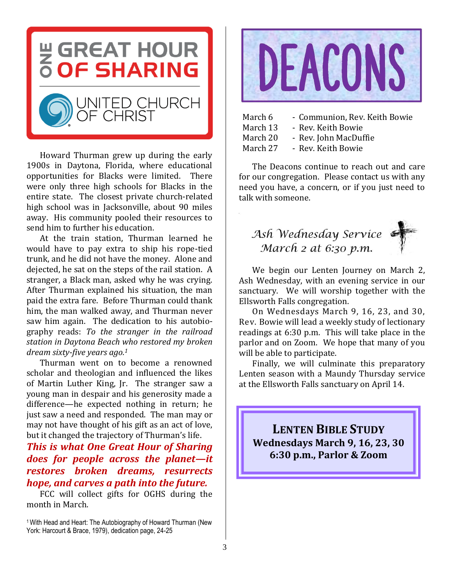

Howard Thurman grew up during the early 1900s in Daytona, Florida, where educational opportunities for Blacks were limited. There were only three high schools for Blacks in the entire state. The closest private church-related high school was in Jacksonville, about 90 miles away. His community pooled their resources to send him to further his education.

At the train station, Thurman learned he would have to pay extra to ship his rope-tied trunk, and he did not have the money. Alone and dejected, he sat on the steps of the rail station. A stranger, a Black man, asked why he was crying. After Thurman explained his situation, the man paid the extra fare. Before Thurman could thank him, the man walked away, and Thurman never saw him again. The dedication to his autobiography reads: *To the stranger in the railroad station in Daytona Beach who restored my broken dream sixty-five years ago. 1*

Thurman went on to become a renowned scholar and theologian and influenced the likes of Martin Luther King, Jr. The stranger saw a young man in despair and his generosity made a difference—he expected nothing in return; he just saw a need and responded. The man may or may not have thought of his gift as an act of love, but it changed the trajectory of Thurman's life.

#### *This is what One Great Hour of Sharing does for people across the planet—it restores broken dreams, resurrects hope, and carves a path into the future.*

FCC will collect gifts for OGHS during the month in March.

<sup>1</sup>With Head and Heart: The Autobiography of Howard Thurman (New York: Harcourt & Brace, 1979), dedication page, 24-25



| March 6  | - Communion, Rev. Keith Bowie |
|----------|-------------------------------|
| March 13 | - Rev. Keith Bowie            |
| March 20 | - Rev. John MacDuffie         |
| March 27 | - Rev. Keith Bowie            |

The Deacons continue to reach out and care for our congregation. Please contact us with any need you have, a concern, or if you just need to talk with someone.



We begin our Lenten Journey on March 2, Ash Wednesday, with an evening service in our sanctuary. We will worship together with the Ellsworth Falls congregation.

On Wednesdays March 9, 16, 23, and 30, Rev. Bowie will lead a weekly study of lectionary readings at 6:30 p.m. This will take place in the parlor and on Zoom. We hope that many of you will be able to participate.

Finally, we will culminate this preparatory Lenten season with a Maundy Thursday service at the Ellsworth Falls sanctuary on April 14.

**LENTEN BIBLE STUDY Wednesdays March 9, 16, 23, 30 6:30 p.m., Parlor & Zoom**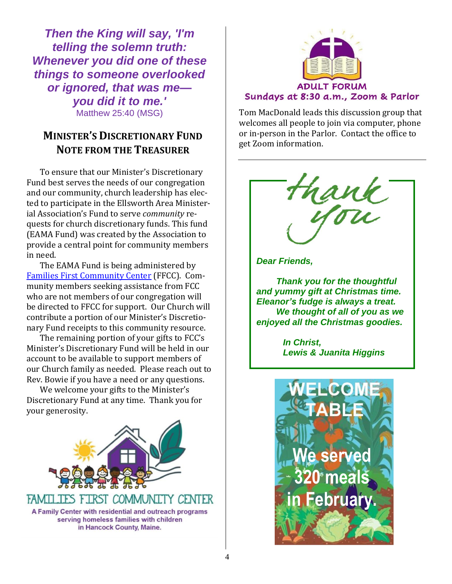*Then the King will say, 'I'm telling the solemn truth: Whenever you did one of these things to someone overlooked or ignored, that was me you did it to me.'* Matthew 25:40 (MSG)

### **MINISTER'S DISCRETIONARY FUND NOTE FROM THE TREASURER**

To ensure that our Minister's Discretionary Fund best serves the needs of our congregation and our community, church leadership has elected to participate in the Ellsworth Area Ministerial Association's Fund to serve *community* requests for church discretionary funds. This fund (EAMA Fund) was created by the Association to provide a central point for community members in need.

The EAMA Fund is being administered by Families First [Community Center](https://familiesfirstellsworth.org/) (FFCC). Community members seeking assistance from FCC who are not members of our congregation will be directed to FFCC for support. Our Church will contribute a portion of our Minister's Discretionary Fund receipts to this community resource.

The remaining portion of your gifts to FCC's Minister's Discretionary Fund will be held in our account to be available to support members of our Church family as needed. Please reach out to Rev. Bowie if you have a need or any questions.

We welcome your gifts to the Minister's Discretionary Fund at any time. Thank you for your generosity.





Tom MacDonald leads this discussion group that welcomes all people to join via computer, phone or in-person in the Parlor. Contact the office to get Zoom information.

rank



*Thank you for the thoughtful and yummy gift at Christmas time. Eleanor's fudge is always a treat. We thought of all of you as we enjoyed all the Christmas goodies.*

> *In Christ, Lewis & Juanita Higgins*

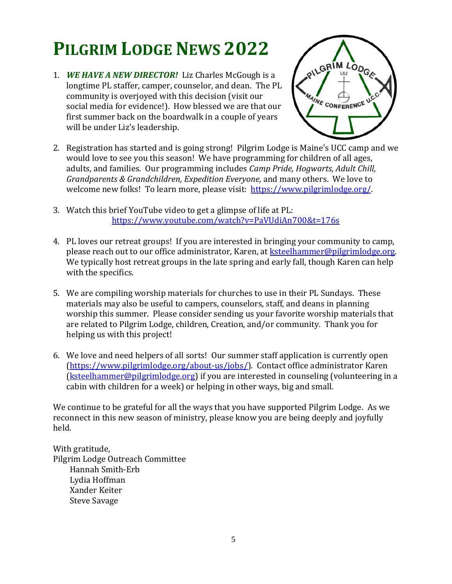## **PILGRIM LODGE NEWS 2022**

1. *WE HAVE A NEW DIRECTOR!*Liz Charles McGough is a longtime PL staffer, camper, counselor, and dean. The PL community is overjoyed with this decision (visit our social media for evidence!). How blessed we are that our first summer back on the boardwalk in a couple of years will be under Liz's leadership.



- 2. Registration has started and is going strong! Pilgrim Lodge is Maine's UCC camp and we would love to see you this season! We have programming for children of all ages, adults, and families. Our programming includes *Camp Pride, Hogwarts, Adult Chill, Grandparents & Grandchildren, Expedition Everyone,* and many others. We love to welcome new folks! To learn more, please visit: [https://www.pilgrimlodge.org/.](https://www.pilgrimlodge.org/)
- 3. Watch this brief YouTube video to get a glimpse of life at PL: <https://www.youtube.com/watch?v=PaVUdiAn700&t=176s>
- 4. PL loves our retreat groups! If you are interested in bringing your community to camp, please reach out to our office administrator, Karen, at ksteelhammer@pilgrimlodge.org. We typically host retreat groups in the late spring and early fall, though Karen can help with the specifics.
- 5. We are compiling worship materials for churches to use in their PL Sundays. These materials may also be useful to campers, counselors, staff, and deans in planning worship this summer. Please consider sending us your favorite worship materials that are related to Pilgrim Lodge, children, Creation, and/or community. Thank you for helping us with this project!
- 6. We love and need helpers of all sorts! Our summer staff application is currently open [\(https://www.pilgrimlodge.org/about-us/jobs/\)](https://www.pilgrimlodge.org/about-us/jobs/). Contact office administrator Karen [\(ksteelhammer@pilgrimlodge.org\)](mailto:ksteelhammer@pilgrimlodge.org) if you are interested in counseling (volunteering in a cabin with children for a week) or helping in other ways, big and small.

We continue to be grateful for all the ways that you have supported Pilgrim Lodge. As we reconnect in this new season of ministry, please know you are being deeply and joyfully held.

With gratitude, Pilgrim Lodge Outreach Committee Hannah Smith-Erb Lydia Hoffman Xander Keiter Steve Savage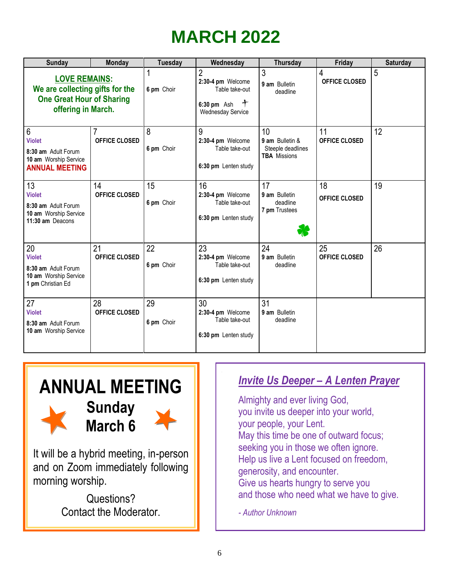## **MARCH 2022**

| <b>Sunday</b>                                                                                                     | <b>Monday</b>              | <b>Tuesday</b>   | Wednesday                                                                                             | <b>Thursday</b>                                                   | Friday              | <b>Saturday</b> |
|-------------------------------------------------------------------------------------------------------------------|----------------------------|------------------|-------------------------------------------------------------------------------------------------------|-------------------------------------------------------------------|---------------------|-----------------|
| <b>LOVE REMAINS:</b><br>We are collecting gifts for the<br><b>One Great Hour of Sharing</b><br>offering in March. |                            | 6 pm Choir       | 2<br>2:30-4 pm Welcome<br>Table take-out<br>$\leftarrow$<br>$6:30$ pm Ash<br><b>Wednesday Service</b> | 3<br>9 am Bulletin<br>deadline                                    | 4<br>OFFICE CLOSED  | 5               |
| 6<br><b>Violet</b><br>8:30 am Adult Forum<br>10 am Worship Service<br><b>ANNUAL MEETING</b>                       | OFFICE CLOSED              | 8<br>6 pm Choir  | 9<br>2:30-4 pm Welcome<br>Table take-out<br>6:30 pm Lenten study                                      | 10<br>9 am Bulletin &<br>Steeple deadlines<br><b>TBA</b> Missions | 11<br>OFFICE CLOSED | 12              |
| 13<br><b>Violet</b><br>8:30 am Adult Forum<br>10 am Worship Service<br>11:30 am Deacons                           | 14<br><b>OFFICE CLOSED</b> | 15<br>6 pm Choir | 16<br>2:30-4 pm Welcome<br>Table take-out<br>6:30 pm Lenten study                                     | 17<br>9 am Bulletin<br>deadline<br>7 pm Trustees<br>₩             | 18<br>OFFICE CLOSED | 19              |
| 20<br><b>Violet</b><br>8:30 am Adult Forum<br>10 am Worship Service<br>1 pm Christian Ed                          | 21<br><b>OFFICE CLOSED</b> | 22<br>6 pm Choir | 23<br>2:30-4 pm Welcome<br>Table take-out<br>6:30 pm Lenten study                                     | 24<br>9 am Bulletin<br>deadline                                   | 25<br>OFFICE CLOSED | 26              |
| 27<br><b>Violet</b><br>8:30 am Adult Forum<br>10 am Worship Service                                               | 28<br><b>OFFICE CLOSED</b> | 29<br>6 pm Choir | 30<br>2:30-4 pm Welcome<br>Table take-out<br>6:30 pm Lenten study                                     | 31<br>9 am Bulletin<br>deadline                                   |                     |                 |

**in**

## **ANNUAL MEETING Sunday March 6**

It will be a hybrid meeting, in-person and on Zoom immediately following morning worship.

> Questions? Contact the Moderator.

# **and 240 meals** *Invite Us Deeper – A Lenten Prayer*

**in Almighty and ever living God,**<br>you invite us deeper into your world, Almighty and ever living God, your people, your Lent. May this time be one of outward focus; seeking you in those we often ignore. Help us live a Lent focused on freedom, generosity, and encounter. Give us hearts hungry to serve you and those who need what we have to give.

*- Author Unknown*